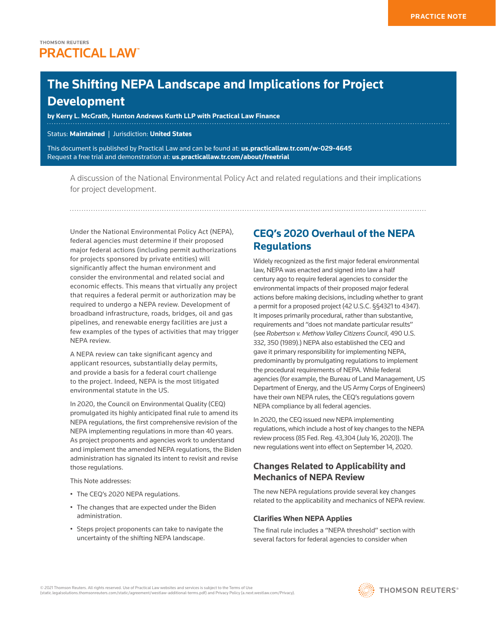# **The Shifting NEPA Landscape and Implications for Project Development**

**by Kerry L. McGrath, [Hunton Andrews Kurth LLP](http://us.practicallaw.thomsonreuters.com/Document/If1a5f5c0a6ca11e8a5b3e3d9e23d7429/View/FullText.html?originationContext=document&vr=3.0&rs=cblt1.0&transitionType=PLDocumentLink&billingHash=56297F2C80ECE026CD8FA200D45A75E14D16A904078FD6881641B987E4A9D3DB&contextData=(sc.Default)) with Practical Law Finance**

Status: **Maintained** | Jurisdiction: **United States**

This document is published by Practical Law and can be found at: **[us.practicallaw.tr.com/w-029-4645](http://us.practicallaw.tr.com/w-029-4645)** Request a free trial and demonstration at: **[us.practicallaw.tr.com/about/freetrial](http://us.practicallaw.tr.com/about/freetrial)**

A discussion of the National Environmental Policy Act and related regulations and their implications for project development.

Under the National Environmental Policy Act (NEPA), federal agencies must determine if their proposed major federal actions (including permit authorizations for projects sponsored by private entities) will significantly affect the human environment and consider the environmental and related social and economic effects. This means that virtually any project that requires a federal permit or authorization may be required to undergo a NEPA review. Development of broadband infrastructure, roads, bridges, oil and gas pipelines, and renewable energy facilities are just a few examples of the types of activities that may trigger NEPA review.

A NEPA review can take significant agency and applicant resources, substantially delay permits, and provide a basis for a federal court challenge to the project. Indeed, NEPA is the most litigated environmental statute in the US.

In 2020, the Council on Environmental Quality (CEQ) promulgated its highly anticipated final rule to amend its NEPA regulations, the first comprehensive revision of the NEPA implementing regulations in more than 40 years. As project proponents and agencies work to understand and implement the amended NEPA regulations, the Biden administration has signaled its intent to revisit and revise those regulations.

This Note addresses:

- The CEQ's 2020 NEPA regulations.
- The changes that are expected under the Biden administration.
- Steps project proponents can take to navigate the uncertainty of the shifting NEPA landscape.

# **CEQ's 2020 Overhaul of the NEPA Regulations**

Widely recognized as the first major federal environmental law, NEPA was enacted and signed into law a half century ago to require federal agencies to consider the environmental impacts of their proposed major federal actions before making decisions, including whether to grant a permit for a proposed project (42 U.S.C. §§4321 to 4347). It imposes primarily procedural, rather than substantive, requirements and "does not mandate particular results" (see *Robertson v. Methow Valley Citizens Council*, 490 U.S. 332, 350 (1989).) NEPA also established the CEQ and gave it primary responsibility for implementing NEPA, predominantly by promulgating regulations to implement the procedural requirements of NEPA. While federal agencies (for example, the Bureau of Land Management, US Department of Energy, and the US Army Corps of Engineers) have their own NEPA rules, the CEQ's regulations govern NEPA compliance by all federal agencies.

In 2020, the CEQ issued new NEPA implementing regulations, which include a host of key changes to the NEPA review process (85 Fed. Reg. 43,304 (July 16, 2020)). The new regulations went into effect on September 14, 2020.

## **Changes Related to Applicability and Mechanics of NEPA Review**

The new NEPA regulations provide several key changes related to the applicability and mechanics of NEPA review.

### **Clarifies When NEPA Applies**

The final rule includes a "NEPA threshold" section with several factors for federal agencies to consider when



**THOMSON REUTERS®**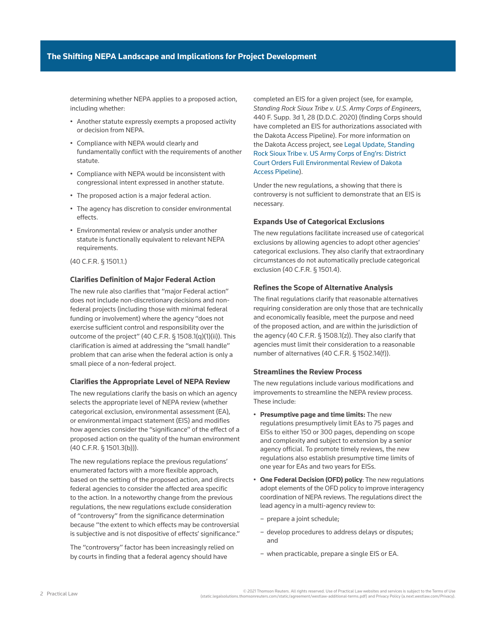determining whether NEPA applies to a proposed action, including whether:

- Another statute expressly exempts a proposed activity or decision from NEPA.
- Compliance with NEPA would clearly and fundamentally conflict with the requirements of another statute.
- Compliance with NEPA would be inconsistent with congressional intent expressed in another statute.
- The proposed action is a major federal action.
- The agency has discretion to consider environmental effects.
- Environmental review or analysis under another statute is functionally equivalent to relevant NEPA requirements.

(40 C.F.R. § 1501.1.)

### **Clarifies Definition of Major Federal Action**

The new rule also clarifies that "major Federal action" does not include non-discretionary decisions and nonfederal projects (including those with minimal federal funding or involvement) where the agency "does not exercise sufficient control and responsibility over the outcome of the project" (40 C.F.R. § 1508.1(q)(1)(ii)). This clarification is aimed at addressing the "small handle" problem that can arise when the federal action is only a small piece of a non-federal project.

#### **Clarifies the Appropriate Level of NEPA Review**

The new regulations clarify the basis on which an agency selects the appropriate level of NEPA review (whether categorical exclusion, environmental assessment (EA), or environmental impact statement (EIS) and modifies how agencies consider the "significance" of the effect of a proposed action on the quality of the human environment (40 C.F.R. § 1501.3(b))).

The new regulations replace the previous regulations' enumerated factors with a more flexible approach, based on the setting of the proposed action, and directs federal agencies to consider the affected area specific to the action. In a noteworthy change from the previous regulations, the new regulations exclude consideration of "controversy" from the significance determination because "the extent to which effects may be controversial is subjective and is not dispositive of effects' significance."

The "controversy" factor has been increasingly relied on by courts in finding that a federal agency should have

completed an EIS for a given project (see, for example, *Standing Rock Sioux Tribe v. U.S. Army Corps of Engineers*, 440 F. Supp. 3d 1, 28 (D.D.C. 2020) (finding Corps should have completed an EIS for authorizations associated with the Dakota Access Pipeline). For more information on the Dakota Access project, see [Legal Update, Standing](http://us.practicallaw.tr.com/W-024-9110)  [Rock Sioux Tribe v. US Army Corps of Eng'rs: District](http://us.practicallaw.tr.com/W-024-9110)  [Court Orders Full Environmental Review of Dakota](http://us.practicallaw.tr.com/W-024-9110)  [Access Pipeline\)](http://us.practicallaw.tr.com/W-024-9110).

Under the new regulations, a showing that there is controversy is not sufficient to demonstrate that an EIS is necessary.

### **Expands Use of Categorical Exclusions**

The new regulations facilitate increased use of categorical exclusions by allowing agencies to adopt other agencies' categorical exclusions. They also clarify that extraordinary circumstances do not automatically preclude categorical exclusion (40 C.F.R. § 1501.4).

#### **Refines the Scope of Alternative Analysis**

The final regulations clarify that reasonable alternatives requiring consideration are only those that are technically and economically feasible, meet the purpose and need of the proposed action, and are within the jurisdiction of the agency (40 C.F.R. § 1508.1(z)). They also clarify that agencies must limit their consideration to a reasonable number of alternatives (40 C.F.R. § 1502.14(f)).

#### **Streamlines the Review Process**

The new regulations include various modifications and improvements to streamline the NEPA review process. These include:

- **Presumptive page and time limits:** The new regulations presumptively limit EAs to 75 pages and EISs to either 150 or 300 pages, depending on scope and complexity and subject to extension by a senior agency official. To promote timely reviews, the new regulations also establish presumptive time limits of one year for EAs and two years for EISs.
- **One Federal Decision (OFD) policy**: The new regulations adopt elements of the OFD policy to improve interagency coordination of NEPA reviews. The regulations direct the lead agency in a multi-agency review to:
	- prepare a joint schedule;
	- develop procedures to address delays or disputes; and
	- when practicable, prepare a single EIS or EA.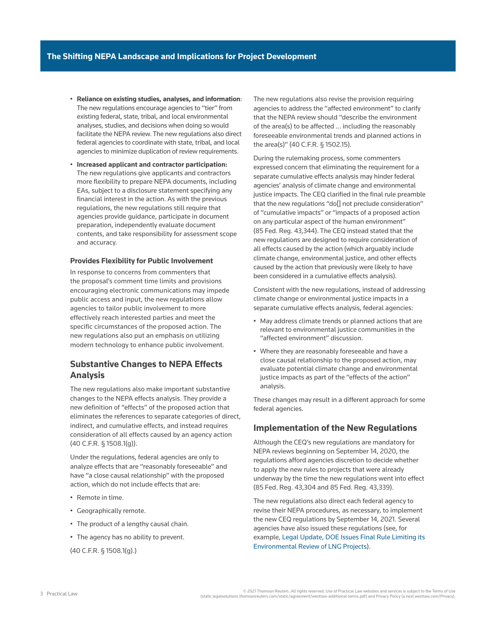- **Reliance on existing studies, analyses, and information**: The new regulations encourage agencies to "tier" from existing federal, state, tribal, and local environmental analyses, studies, and decisions when doing so would facilitate the NEPA review. The new regulations also direct federal agencies to coordinate with state, tribal, and local agencies to minimize duplication of review requirements.
- **Increased applicant and contractor participation:** The new regulations give applicants and contractors more flexibility to prepare NEPA documents, including EAs, subject to a disclosure statement specifying any financial interest in the action. As with the previous regulations, the new regulations still require that agencies provide guidance, participate in document preparation, independently evaluate document contents, and take responsibility for assessment scope and accuracy.

#### **Provides Flexibility for Public Involvement**

In response to concerns from commenters that the proposal's comment time limits and provisions encouraging electronic communications may impede public access and input, the new regulations allow agencies to tailor public involvement to more effectively reach interested parties and meet the specific circumstances of the proposed action. The new regulations also put an emphasis on utilizing modern technology to enhance public involvement.

## **Substantive Changes to NEPA Effects Analysis**

The new regulations also make important substantive changes to the NEPA effects analysis. They provide a new definition of "effects" of the proposed action that eliminates the references to separate categories of direct, indirect, and cumulative effects, and instead requires consideration of all effects caused by an agency action (40 C.F.R. § 1508.1(g)).

Under the regulations, federal agencies are only to analyze effects that are "reasonably foreseeable" and have "a close causal relationship" with the proposed action, which do not include effects that are:

- Remote in time.
- Geographically remote.
- The product of a lengthy causal chain.
- The agency has no ability to prevent.

([40 C.F.R. § 1508.1\(g\)](http://us.practicallaw.thomsonreuters.com/Link/Document/FullText?findType=L&pubNum=1000547&cite=40CFRS1508.1&originatingDoc=I754c3c9f649011ebbea4f0dc9fb69570&refType=SP&originationContext=document&vr=3.0&rs=cblt1.0&transitionType=PLDocumentLink&billingHash=9A49B44EA927EB244642B899257618AE3B8B724BAFE9CD9261E202C00EBB8D5D&contextData=(sc.Default)#co_pp_16f4000091d86).)

The new regulations also revise the provision requiring agencies to address the "affected environment" to clarify that the NEPA review should "describe the environment of the area(s) to be affected … including the reasonably foreseeable environmental trends and planned actions in the area(s)" (40 C.F.R. § 1502.15).

During the rulemaking process, some commenters expressed concern that eliminating the requirement for a separate cumulative effects analysis may hinder federal agencies' analysis of climate change and environmental justice impacts. The CEQ clarified in the final rule preamble that the new regulations "do[] not preclude consideration" of "cumulative impacts" or "impacts of a proposed action on any particular aspect of the human environment" (85 Fed. Reg. 43,344). The CEQ instead stated that the new regulations are designed to require consideration of all effects caused by the action (which arguably include climate change, environmental justice, and other effects caused by the action that previously were likely to have been considered in a cumulative effects analysis).

Consistent with the new regulations, instead of addressing climate change or environmental justice impacts in a separate cumulative effects analysis, federal agencies:

- May address climate trends or planned actions that are relevant to environmental justice communities in the "affected environment" discussion.
- Where they are reasonably foreseeable and have a close causal relationship to the proposed action, may evaluate potential climate change and environmental justice impacts as part of the "effects of the action" analysis.

These changes may result in a different approach for some federal agencies.

### **Implementation of the New Regulations**

Although the CEQ's new regulations are mandatory for NEPA reviews beginning on September 14, 2020, the regulations afford agencies discretion to decide whether to apply the new rules to projects that were already underway by the time the new regulations went into effect (85 Fed. Reg. 43,304 and 85 Fed. Reg. 43,339).

The new regulations also direct each federal agency to revise their NEPA procedures, as necessary, to implement the new CEQ regulations by September 14, 2021. Several agencies have also issued these regulations (see, for example, [Legal Update, DOE Issues Final Rule Limiting its](http://us.practicallaw.tr.com/W-028-9917)  [Environmental Review of LNG Projects](http://us.practicallaw.tr.com/W-028-9917)).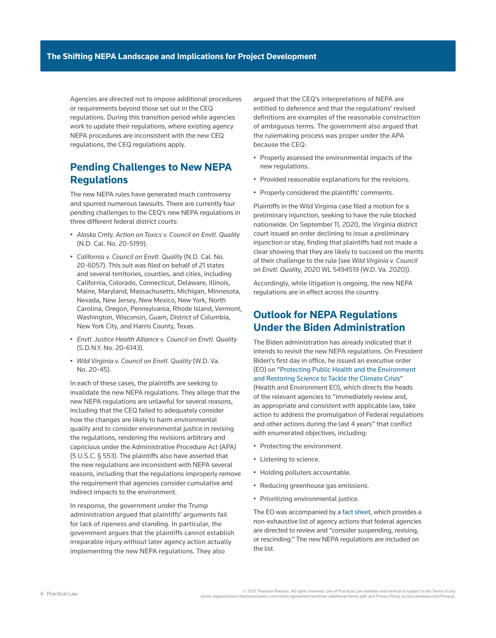Agencies are directed not to impose additional procedures or requirements beyond those set out in the CEQ regulations. During this transition period while agencies work to update their regulations, where existing agency NEPA procedures are inconsistent with the new CEQ regulations, the CEQ regulations apply.

# **Pending Challenges to New NEPA Regulations**

The new NEPA rules have generated much controversy and spurred numerous lawsuits. There are currently four pending challenges to the CEQ's new NEPA regulations in three different federal district courts:

- *Alaska Cmty. Action on Toxics v. Council on Envtl. Quality* (N.D. Cal. No. 20-5199).
- *California v. Council on Envtl. Quality* (N.D. Cal. No. 20-6057). This suit was filed on behalf of 21 states and several territories, counties, and cities, including California, Colorado, Connecticut, Delaware, Illinois, Maine, Maryland, Massachusetts, Michigan, Minnesota, Nevada, New Jersey, New Mexico, New York, North Carolina, Oregon, Pennsylvania, Rhode Island, Vermont, Washington, Wisconsin, Guam, District of Columbia, New York City, and Harris County, Texas.
- *Envtl. Justice Health Alliance v. Council on Envtl. Quality* (S.D.N.Y. No. 20-6143).
- *Wild Virginia v. Council on Envtl. Quality* (W.D. Va. No. 20-45).

In each of these cases, the plaintiffs are seeking to invalidate the new NEPA regulations. They allege that the new NEPA regulations are unlawful for several reasons, including that the CEQ failed to adequately consider how the changes are likely to harm environmental quality and to consider environmental justice in revising the regulations, rendering the revisions arbitrary and capricious under the Administrative Procedure Act (APA) (5 U.S.C. § 553). The plaintiffs also have asserted that the new regulations are inconsistent with NEPA several reasons, including that the regulations improperly remove the requirement that agencies consider cumulative and indirect impacts to the environment.

In response, the government under the Trump administration argued that plaintiffs' arguments fail for lack of ripeness and standing. In particular, the government argues that the plaintiffs cannot establish irreparable injury without later agency action actually implementing the new NEPA regulations. They also

argued that the CEQ's interpretations of NEPA are entitled to deference and that the regulations' revised definitions are examples of the reasonable construction of ambiguous terms. The government also argued that the rulemaking process was proper under the APA because the CEQ:

- Properly assessed the environmental impacts of the new regulations.
- Provided reasonable explanations for the revisions.
- Properly considered the plaintiffs' comments.

Plaintiffs in the Wild Virginia case filed a motion for a preliminary injunction, seeking to have the rule blocked nationwide. On September 11, 2020, the Virginia district court issued an order declining to issue a preliminary injunction or stay, finding that plaintiffs had not made a clear showing that they are likely to succeed on the merits of their challenge to the rule (see *Wild Virginia v. Council on Envtl. Quality*, 2020 WL 5494519 (W.D. Va. 2020)).

Accordingly, while litigation is ongoing, the new NEPA regulations are in effect across the country.

# **Outlook for NEPA Regulations Under the Biden Administration**

The Biden administration has already indicated that it intends to revisit the new NEPA regulations. On President Biden's first day in office, he issued an executive order (EO) on ["Protecting Public Health and the Environment](https://www.whitehouse.gov/briefing-room/presidential-actions/2021/01/20/executive-order-protecting-public-health-and-environment-and-restoring-science-to-tackle-climate-crisis/)  [and Restoring Science to Tackle the Climate Crisis"](https://www.whitehouse.gov/briefing-room/presidential-actions/2021/01/20/executive-order-protecting-public-health-and-environment-and-restoring-science-to-tackle-climate-crisis/)

(Health and Environment EO), which directs the heads of the relevant agencies to "immediately review and, as appropriate and consistent with applicable law, take action to address the promulgation of Federal regulations and other actions during the last 4 years" that conflict with enumerated objectives, including:

- Protecting the environment.
- Listening to science.
- Holding polluters accountable.
- Reducing greenhouse gas emissions.
- Prioritizing environmental justice.

The EO was accompanied by a [fact sheet](https://www.whitehouse.gov/briefing-room/statements-releases/2021/01/20/fact-sheet-list-of-agency-actions-for-review/), which provides a non-exhaustive list of agency actions that federal agencies are directed to review and "consider suspending, revising, or rescinding." The new NEPA regulations are included on the list.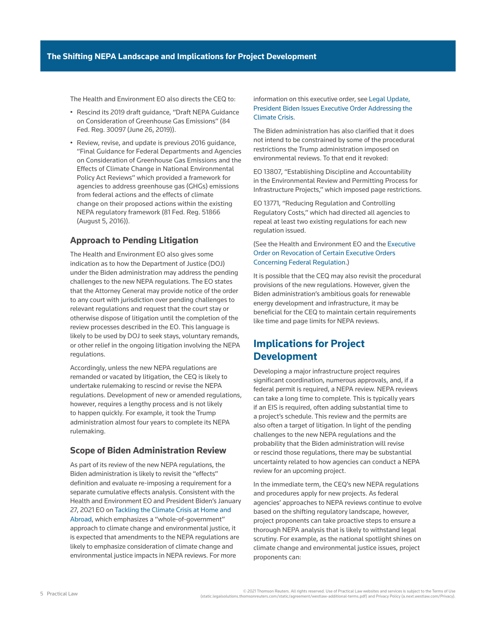The Health and Environment EO also directs the CEQ to:

- Rescind its 2019 draft guidance, "Draft NEPA Guidance on Consideration of Greenhouse Gas Emissions" (84 Fed. Reg. 30097 (June 26, 2019)).
- Review, revise, and update is previous 2016 guidance, "Final Guidance for Federal Departments and Agencies on Consideration of Greenhouse Gas Emissions and the Effects of Climate Change in National Environmental Policy Act Reviews" which provided a framework for agencies to address greenhouse gas (GHGs) emissions from federal actions and the effects of climate change on their proposed actions within the existing NEPA regulatory framework (81 Fed. Reg. 51866 (August 5, 2016)).

### **Approach to Pending Litigation**

The Health and Environment EO also gives some indication as to how the Department of Justice (DOJ) under the Biden administration may address the pending challenges to the new NEPA regulations. The EO states that the Attorney General may provide notice of the order to any court with jurisdiction over pending challenges to relevant regulations and request that the court stay or otherwise dispose of litigation until the completion of the review processes described in the EO. This language is likely to be used by DOJ to seek stays, voluntary remands, or other relief in the ongoing litigation involving the NEPA regulations.

Accordingly, unless the new NEPA regulations are remanded or vacated by litigation, the CEQ is likely to undertake rulemaking to rescind or revise the NEPA regulations. Development of new or amended regulations, however, requires a lengthy process and is not likely to happen quickly. For example, it took the Trump administration almost four years to complete its NEPA rulemaking.

### **Scope of Biden Administration Review**

As part of its review of the new NEPA regulations, the Biden administration is likely to revisit the "effects" definition and evaluate re-imposing a requirement for a separate cumulative effects analysis. Consistent with the Health and Environment EO and President Biden's January 27, 2021 EO on [Tackling the Climate Crisis at Home and](https://www.whitehouse.gov/briefing-room/presidential-actions/2021/01/27/executive-order-on-tackling-the-climate-crisis-at-home-and-abroad/)  [Abroad](https://www.whitehouse.gov/briefing-room/presidential-actions/2021/01/27/executive-order-on-tackling-the-climate-crisis-at-home-and-abroad/), which emphasizes a "whole-of-government" approach to climate change and environmental justice, it is expected that amendments to the NEPA regulations are likely to emphasize consideration of climate change and environmental justice impacts in NEPA reviews. For more

### information on this executive order, see [Legal Update,](http://us.practicallaw.tr.com/W-029-5607)  [President Biden Issues Executive Order Addressing the](http://us.practicallaw.tr.com/W-029-5607)  [Climate Crisis](http://us.practicallaw.tr.com/W-029-5607).

The Biden administration has also clarified that it does not intend to be constrained by some of the procedural restrictions the Trump administration imposed on environmental reviews. To that end it revoked:

EO 13807, "Establishing Discipline and Accountability in the Environmental Review and Permitting Process for Infrastructure Projects," which imposed page restrictions.

EO 13771, "Reducing Regulation and Controlling Regulatory Costs," which had directed all agencies to repeal at least two existing regulations for each new regulation issued.

### (See the Health and Environment EO and the [Executive](https://www.whitehouse.gov/briefing-room/presidential-actions/2021/01/20/executive-order-revocation-of-certain-executive-orders-concerning-federal-regulation/)  [Order on Revocation of Certain Executive Orders](https://www.whitehouse.gov/briefing-room/presidential-actions/2021/01/20/executive-order-revocation-of-certain-executive-orders-concerning-federal-regulation/)  [Concerning Federal Regulation](https://www.whitehouse.gov/briefing-room/presidential-actions/2021/01/20/executive-order-revocation-of-certain-executive-orders-concerning-federal-regulation/).)

It is possible that the CEQ may also revisit the procedural provisions of the new regulations. However, given the Biden administration's ambitious goals for renewable energy development and infrastructure, it may be beneficial for the CEQ to maintain certain requirements like time and page limits for NEPA reviews.

# **Implications for Project Development**

Developing a major infrastructure project requires significant coordination, numerous approvals, and, if a federal permit is required, a NEPA review. NEPA reviews can take a long time to complete. This is typically years if an EIS is required, often adding substantial time to a project's schedule. This review and the permits are also often a target of litigation. In light of the pending challenges to the new NEPA regulations and the probability that the Biden administration will revise or rescind those regulations, there may be substantial uncertainty related to how agencies can conduct a NEPA review for an upcoming project.

In the immediate term, the CEQ's new NEPA regulations and procedures apply for new projects. As federal agencies' approaches to NEPA reviews continue to evolve based on the shifting regulatory landscape, however, project proponents can take proactive steps to ensure a thorough NEPA analysis that is likely to withstand legal scrutiny. For example, as the national spotlight shines on climate change and environmental justice issues, project proponents can: